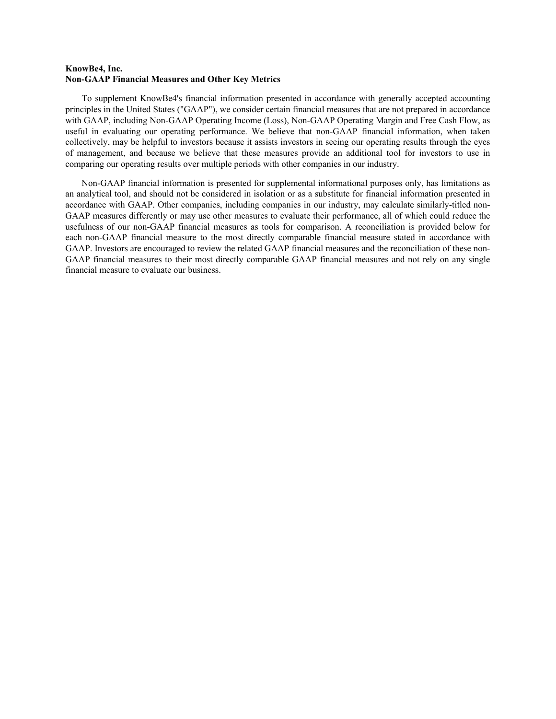### **KnowBe4, Inc. Non-GAAP Financial Measures and Other Key Metrics**

To supplement KnowBe4's financial information presented in accordance with generally accepted accounting principles in the United States ("GAAP"), we consider certain financial measures that are not prepared in accordance with GAAP, including Non-GAAP Operating Income (Loss), Non-GAAP Operating Margin and Free Cash Flow, as useful in evaluating our operating performance. We believe that non-GAAP financial information, when taken collectively, may be helpful to investors because it assists investors in seeing our operating results through the eyes of management, and because we believe that these measures provide an additional tool for investors to use in comparing our operating results over multiple periods with other companies in our industry.

Non-GAAP financial information is presented for supplemental informational purposes only, has limitations as an analytical tool, and should not be considered in isolation or as a substitute for financial information presented in accordance with GAAP. Other companies, including companies in our industry, may calculate similarly-titled non-GAAP measures differently or may use other measures to evaluate their performance, all of which could reduce the usefulness of our non-GAAP financial measures as tools for comparison. A reconciliation is provided below for each non-GAAP financial measure to the most directly comparable financial measure stated in accordance with GAAP. Investors are encouraged to review the related GAAP financial measures and the reconciliation of these non-GAAP financial measures to their most directly comparable GAAP financial measures and not rely on any single financial measure to evaluate our business.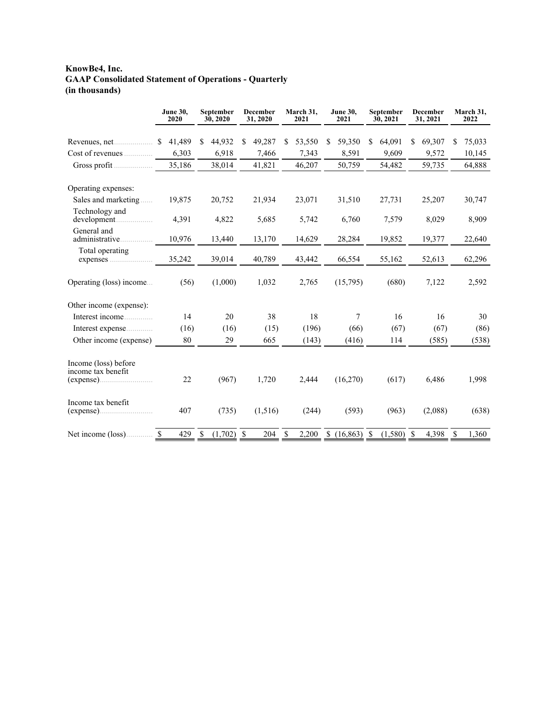# **KnowBe4, Inc. GAAP Consolidated Statement of Operations - Quarterly (in thousands)**

|                                                         | <b>June 30,</b><br>2020 | September<br><b>December</b><br>30, 2020<br>31, 2020 |              | March 31,<br>2021 | <b>June 30,</b><br>2021 | September<br>30, 2021 | <b>December</b><br>31, 2021 | March 31,<br>2022 |
|---------------------------------------------------------|-------------------------|------------------------------------------------------|--------------|-------------------|-------------------------|-----------------------|-----------------------------|-------------------|
|                                                         | 41,489<br><sup>S</sup>  | 44,932<br>S.                                         | 49,287<br>\$ | \$<br>53,550      | 59,350<br>S             | \$<br>64,091          | 69,307<br>\$                | 75,033<br>\$      |
| Cost of revenues                                        | 6,303                   | 6,918                                                | 7,466        | 7,343             | 8,591                   | 9,609                 | 9,572                       | 10,145            |
| Gross profit                                            | 35,186                  | 38,014                                               | 41,821       | 46,207            | 50,759                  | 54,482                | 59,735                      | 64,888            |
| Operating expenses:                                     |                         |                                                      |              |                   |                         |                       |                             |                   |
| Sales and marketing                                     | 19,875                  | 20,752                                               | 21,934       | 23,071            | 31,510                  | 27,731                | 25,207                      | 30,747            |
| Technology and                                          | 4,391                   | 4,822                                                | 5,685        | 5,742             | 6,760                   | 7,579                 | 8,029                       | 8,909             |
| General and<br>administrative                           | 10,976                  | 13,440                                               | 13,170       | 14,629            | 28,284                  | 19,852                | 19,377                      | 22,640            |
| Total operating<br>expenses                             | 35,242                  | 39,014                                               | 40,789       | 43,442            | 66,554                  | 55,162                | 52,613                      | 62,296            |
| Operating (loss) income                                 | (56)                    | (1,000)                                              | 1,032        | 2,765             | (15,795)                | (680)                 | 7,122                       | 2,592             |
| Other income (expense):                                 |                         |                                                      |              |                   |                         |                       |                             |                   |
| Interest income                                         | 14                      | 20                                                   | 38           | 18                | 7                       | 16                    | 16                          | 30                |
| Interest expense                                        | (16)                    | (16)                                                 | (15)         | (196)             | (66)                    | (67)                  | (67)                        | (86)              |
| Other income (expense)                                  | 80                      | 29                                                   | 665          | (143)             | (416)                   | 114                   | (585)                       | (538)             |
| Income (loss) before<br>income tax benefit<br>(expense) | 22                      | (967)                                                | 1,720        | 2,444             | (16,270)                | (617)                 | 6,486                       | 1,998             |
| Income tax benefit<br>(expense)                         | 407                     | (735)                                                | (1,516)      | (244)             | (593)                   | (963)                 | (2,088)                     | (638)             |
| Net income (loss).                                      | \$<br>429               | $(1,702)$ \$<br>\$                                   | 204          | \$<br>2,200       | (16,863)                | \$<br>$(1,580)$ \$    | 4,398                       | \$<br>1,360       |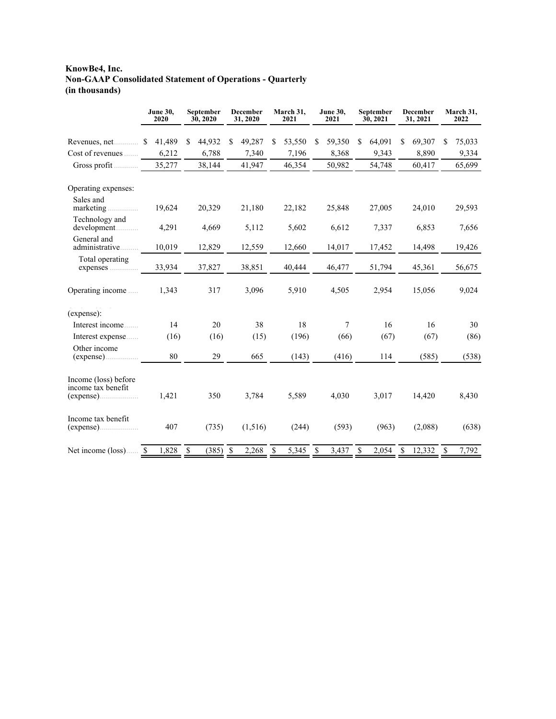# **KnowBe4, Inc. Non-GAAP Consolidated Statement of Operations - Quarterly (in thousands)**

|                                            | <b>June 30,</b><br>2020 | September<br>30, 2020  | <b>December</b><br>31, 2020 | March 31,<br>2021 | <b>June 30,</b><br>2021 | September<br>30, 2021 | <b>December</b><br>31, 2021 | March 31,<br>2022     |  |
|--------------------------------------------|-------------------------|------------------------|-----------------------------|-------------------|-------------------------|-----------------------|-----------------------------|-----------------------|--|
| Revenues, net                              | \$41,489                | 44,932<br><sup>S</sup> | 49,287<br>S.                | 53,550<br>S.      | 59,350<br><sup>\$</sup> | 64,091<br>S.          | 69,307<br>S                 | 75,033<br>S           |  |
| Cost of revenues                           | 6,212                   | 6,788                  | 7,340                       | 7,196             | 8,368                   | 9,343                 | 8,890                       | 9,334                 |  |
| Gross profit                               | 35,277                  | 38,144                 | 41,947                      | 46,354            | 50,982                  | 54,748                | 60,417                      | 65,699                |  |
| Operating expenses:                        |                         |                        |                             |                   |                         |                       |                             |                       |  |
| Sales and<br>marketing                     | 19,624                  | 20,329                 | 21,180                      | 22,182            | 25,848                  | 27,005                | 24,010                      | 29,593                |  |
| Technology and<br>development              | 4,291                   | 4,669                  | 5,112                       | 5,602             | 6,612                   | 7,337                 | 6,853                       | 7,656                 |  |
| General and<br>administrative              | 10,019                  | 12,829                 | 12,559                      | 12,660            | 14,017                  | 17,452                | 14,498                      | 19,426                |  |
| Total operating<br>expenses                | 33,934                  | 37,827                 | 38,851                      | 40,444            | 46,477                  | 51,794                | 45,361                      | 56,675                |  |
| Operating income                           | 1,343                   | 317                    | 3,096                       | 5,910             | 4,505                   | 2,954                 | 15,056                      | 9,024                 |  |
| (expense):                                 |                         |                        |                             |                   |                         |                       |                             |                       |  |
| Interest income                            | 14                      | 20                     | 38                          | 18                | $\overline{7}$          | 16                    | 16                          | 30                    |  |
| Interest expense                           | (16)                    | (16)                   | (15)                        | (196)             | (66)                    | (67)                  | (67)                        | (86)                  |  |
| Other income                               | 80                      | 29                     | 665                         | (143)             | (416)                   | 114                   | (585)                       | (538)                 |  |
| Income (loss) before<br>income tax benefit |                         |                        |                             |                   |                         |                       |                             |                       |  |
|                                            | 1,421                   | 350                    | 3,784                       | 5,589             | 4,030                   | 3,017                 | 14,420                      | 8,430                 |  |
| Income tax benefit                         | 407                     | (735)                  | (1,516)                     | (244)             | (593)                   | (963)                 | (2,088)                     | (638)                 |  |
| Net income (loss) \$                       | 1,828                   | - \$<br>$(385)$ \$     | 2,268                       | 5,345<br>-S       | 3,437<br>-S             | $2,054$ \$<br>- \$    | 12,332                      | $\mathbb{S}$<br>7,792 |  |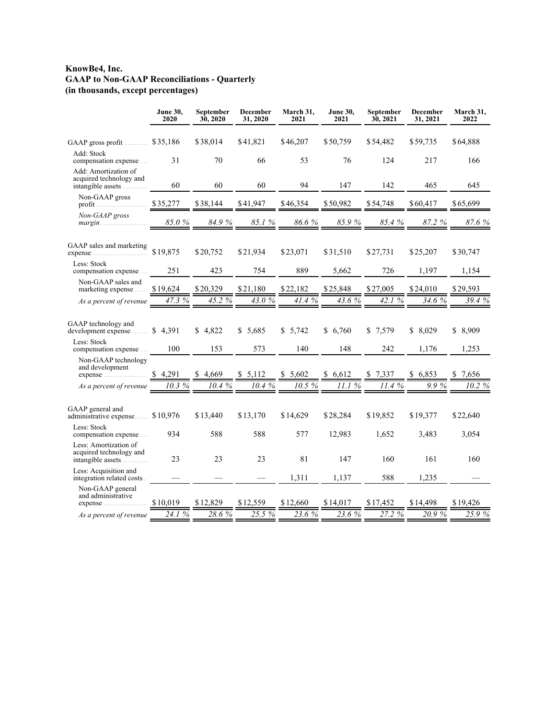### **KnowBe4, Inc. GAAP to Non-GAAP Reconciliations - Quarterly (in thousands, except percentages)**

|                                                                       | <b>June 30,</b><br>2020 | September<br>30, 2020 | December<br>31, 2020 | March 31,<br>2021 | <b>June 30,</b><br>2021 | September<br>30, 2021 | December<br>31, 2021 | March 31,<br>2022 |
|-----------------------------------------------------------------------|-------------------------|-----------------------|----------------------|-------------------|-------------------------|-----------------------|----------------------|-------------------|
|                                                                       |                         | \$38,014              | \$41,821             | \$46,207          | \$50,759                | \$54,482              | \$59,735             | \$64,888          |
| Add: Stock<br>compensation expense                                    | 31                      | 70                    | 66                   | 53                | 76                      | 124                   | 217                  | 166               |
| Add: Amortization of<br>acquired technology and<br>intangible assets  | 60                      | 60                    | 60                   | 94                | 147                     | 142                   | 465                  | 645               |
| Non-GAAP gross                                                        | \$35,277                | \$38,144              | \$41.947             | \$46,354          | \$50,982                | \$54,748              | \$60,417             | \$65,699          |
| Non-GAAP gross                                                        | $85.0\ \%$              | 84.9%                 | 85.1%                | 86.6%             | 85.9%                   | 85.4%                 | 87.2 %               | 87.6 %            |
| GAAP sales and marketing                                              | \$19,875                | \$20,752              | \$21,934             | \$23,071          | \$31,510                | \$27,731              | \$25,207             | \$30,747          |
| Less: Stock<br>compensation expense                                   | 251                     | 423                   | 754                  | 889               | 5,662                   | 726                   | 1,197                | 1,154             |
| Non-GAAP sales and<br>marketing expense                               | \$19,624                | \$20,329              | \$21,180             | \$22,182          | \$25,848                | \$27,005              | \$24,010             | \$29,593          |
| As a percent of revenue                                               | 47.3 %                  | 45.2 %                | 43.0 %               | 41.4 %            | 43.6 %                  | 42.1 %                | 34.6 %               | 39.4 %            |
| GAAP technology and<br>development expense<br>Less: Stock             | \$4,391                 | \$4.822               | \$5,685              | \$5,742           | \$6,760                 | 7,579<br>S.           | \$8,029              | \$ 8,909          |
| compensation expense                                                  | 100                     | 153                   | 573                  | 140               | 148                     | 242                   | 1,176                | 1,253             |
| Non-GAAP technology<br>and development<br>expense                     | \$4,291                 | 4,669<br>S.           | \$5,112              | 5,602             | \$6,612                 | 7,337                 | 6,853<br>S.          | 7,656             |
| As a percent of revenue                                               | 10.3%                   | 10.4 %                | 10.4%                | 10.5 %            | 11.1%                   | 11.4%                 | $9.9\%$              | 10.2 %            |
| GAAP general and<br>administrative expense \$10,976                   |                         | \$13,440              | \$13,170             | \$14,629          | \$28,284                | \$19,852              | \$19,377             | \$22,640          |
| Less: Stock<br>compensation expense                                   | 934                     | 588                   | 588                  | 577               | 12,983                  | 1,652                 | 3,483                | 3,054             |
| Less: Amortization of<br>acquired technology and<br>intangible assets | 23                      | 23                    | 23                   | 81                | 147                     | 160                   | 161                  | 160               |
| Less: Acquisition and<br>integration related costs                    |                         |                       |                      | 1,311             | 1.137                   | 588                   | 1,235                |                   |
| Non-GAAP general<br>and administrative<br>expense                     | \$10,019                | \$12,829              | \$12,559             | \$12,660          | \$14,017                | \$17,452              | \$14,498             | \$19,426          |
| As a percent of revenue                                               | 24.1 %                  | 28.6 %                | $25.5\%$             | 23.6 %            | 23.6%                   | 27.2 %                | 20.9%                | 25.9%             |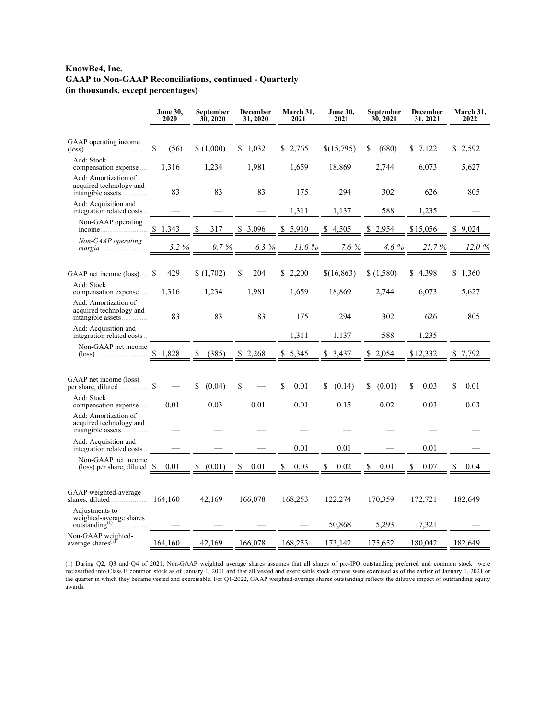## **KnowBe4, Inc. GAAP to Non-GAAP Reconciliations, continued - Quarterly (in thousands, except percentages)**

|                                                                           | <b>June 30,</b><br>2020 | December<br><b>June 30,</b><br>December<br>September<br>March 31,<br>September<br>30, 2020<br>31, 2020<br>2021<br>2021<br>30, 2021<br>31, 2021 |                            |             |             |              | March 31,<br>2022 |             |
|---------------------------------------------------------------------------|-------------------------|------------------------------------------------------------------------------------------------------------------------------------------------|----------------------------|-------------|-------------|--------------|-------------------|-------------|
| GAAP operating income<br>$(\text{loss})$                                  | \$<br>(56)              | \$(1,000)                                                                                                                                      | \$1,032                    | \$2,765     | \$(15,795)  | \$<br>(680)  | \$7,122           | \$2,592     |
| Add: Stock<br>compensation expense                                        | 1,316                   | 1,234                                                                                                                                          | 1,981                      | 1,659       | 18,869      | 2,744        | 6,073             | 5,627       |
| Add: Amortization of<br>acquired technology and<br>intangible assets      | 83                      | 83                                                                                                                                             | 83                         | 175         | 294         | 302          | 626               | 805         |
| Add: Acquisition and<br>integration related costs                         |                         |                                                                                                                                                |                            | 1,311       | 1,137       | 588          | 1,235             |             |
| Non-GAAP operating<br>income                                              | 1,343                   | 317                                                                                                                                            | 3,096                      | 5,910<br>\$ | 4,505<br>\$ | 2,954        | \$15,056          | 9.024       |
| Non-GAAP operating                                                        | 3.2 %                   | $0.7\ \%$                                                                                                                                      | 6.3%                       | 11.0%       | 7.6%        | 4.6 %        | 21.7%             | 12.0 %      |
| GAAP net income (loss)                                                    | 429<br>S                | \$(1,702)                                                                                                                                      | \$<br>204                  | \$2,200     | \$(16,863)  | \$(1,580)    | \$4,398           | \$1,360     |
| Add: Stock<br>compensation expense                                        | 1,316                   | 1,234                                                                                                                                          | 1,981                      | 1,659       | 18,869      | 2,744        | 6,073             | 5,627       |
| Add: Amortization of<br>acquired technology and<br>intangible assets      | 83                      | 83                                                                                                                                             | 83                         | 175         | 294         | 302          | 626               | 805         |
| Add: Acquisition and<br>integration related costs.                        |                         |                                                                                                                                                |                            | 1,311       | 1,137       | 588          | 1,235             |             |
| Non-GAAP net income                                                       | 1,828<br>S.             | (385)<br>\$                                                                                                                                    | 2,268<br>\$<br>5,345<br>\$ |             | \$<br>3.437 | 2,054<br>S   | \$12,332          | 7,792<br>\$ |
| GAAP net income (loss)                                                    | \$                      | \$<br>(0.04)                                                                                                                                   | \$                         | \$<br>0.01  | (0.14)<br>S | (0.01)<br>\$ | \$<br>0.03        | \$<br>0.01  |
| Add: Stock<br>compensation expense                                        | 0.01                    | 0.03                                                                                                                                           | 0.01                       | 0.01        | 0.15        | 0.02         | 0.03              | 0.03        |
| Add: Amortization of<br>acquired technology and<br>intangible assets      |                         |                                                                                                                                                |                            |             |             |              |                   |             |
| Add: Acquisition and<br>integration related costs                         |                         |                                                                                                                                                |                            | 0.01        | 0.01        |              | 0.01              |             |
| Non-GAAP net income<br>(loss) per share, diluted $\$$                     | 0.01                    | (0.01)                                                                                                                                         | 0.01                       | 0.03        | 0.02        | 0.01         | 0.07              | 0.04        |
| GAAP weighted-average                                                     | 164,160                 | 42,169                                                                                                                                         | 166,078                    | 168,253     | 122,274     | 170,359      | 172,721           | 182,649     |
| Adjustments to<br>weighted-average shares<br>outstanding <sup>(1)</sup> . |                         |                                                                                                                                                |                            |             | 50,868      | 5,293        | 7,321             |             |
| Non-GAAP weighted-<br>average shares <sup>(1)</sup>                       | 164,160                 | 42,169                                                                                                                                         | 166,078                    | 168,253     | 173,142     | 175,652      | 180,042           | 182,649     |

(1) During Q2, Q3 and Q4 of 2021, Non-GAAP weighted average shares assumes that all shares of pre-IPO outstanding preferred and common stock were reclassified into Class B common stock as of January 1, 2021 and that all vested and exercisable stock options were exercised as of the earlier of January 1, 2021 or the quarter in which they became vested and exercisable. For Q1-2022, GAAP weighted-average shares outstanding reflects the dilutive impact of outstanding equity awards.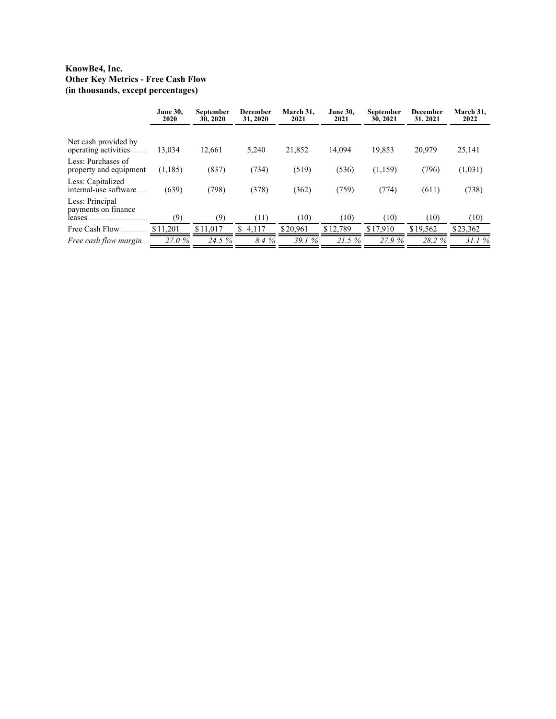## **KnowBe4, Inc. Other Key Metrics - Free Cash Flow (in thousands, except percentages)**

|                                                  | <b>June 30,</b><br>2020 | September<br>30, 2020 | December<br>31, 2020 | March 31,<br>2021 | <b>June 30.</b><br>2021 | <b>September</b><br>30, 2021 | December<br>31, 2021 | March 31,<br>2022 |
|--------------------------------------------------|-------------------------|-----------------------|----------------------|-------------------|-------------------------|------------------------------|----------------------|-------------------|
| Net cash provided by<br>operating activities     | 13,034                  | 12,661                | 5,240                | 21,852            | 14,094                  | 19,853                       | 20,979               | 25,141            |
| Less: Purchases of<br>property and equipment     | (1,185)                 | (837)                 | (734)                | (519)             | (536)                   | (1,159)                      | (796)                | (1,031)           |
| Less: Capitalized<br>internal-use software       | (639)                   | (798)                 | (378)                | (362)             | (759)                   | (774)                        | (611)                | (738)             |
| Less: Principal<br>payments on finance<br>leases | (9)                     | (9)                   | (11)                 | (10)              | (10)                    | (10)                         | (10)                 | (10)              |
| Free Cash Flow                                   | \$11,201                | \$11.017              | \$<br>4,117          | \$20.961          | \$12,789                | \$17,910                     | \$19,562             | \$23,362          |
| <i>Free cash flow margin</i>                     | 27.0%                   | 24.5 %                | 8.4 %                | 39.1%             | 21.5%                   | 27.9%                        | 28.2 %               | 31.1%             |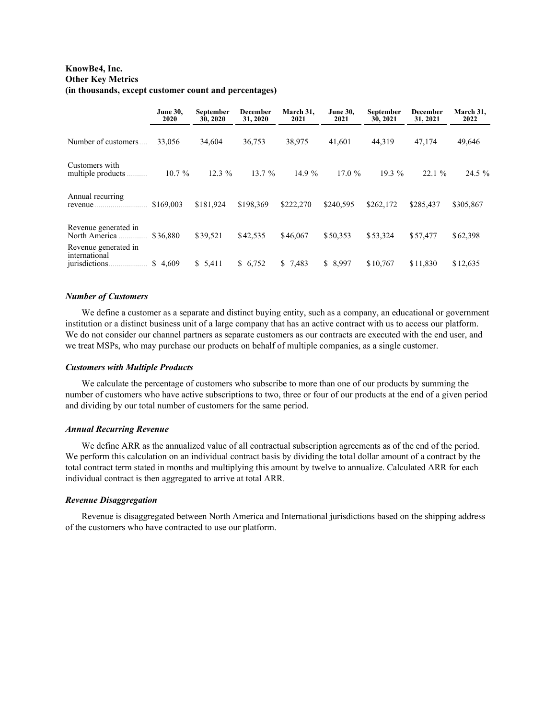### **KnowBe4, Inc. Other Key Metrics (in thousands, except customer count and percentages)**

|                                                        | <b>June 30,</b><br><b>September</b><br>30, 2020<br>2020 |           | December<br>31, 2020 | March 31.<br>2021 | <b>June 30.</b><br>2021 | <b>September</b><br>30, 2021 | December<br>31, 2021 | March 31,<br>2022 |
|--------------------------------------------------------|---------------------------------------------------------|-----------|----------------------|-------------------|-------------------------|------------------------------|----------------------|-------------------|
| Number of customers                                    | 33,056                                                  | 34,604    | 36,753               | 38,975            | 41,601                  | 44,319                       | 47,174               | 49,646            |
| Customers with<br>multiple products                    | $10.7\%$                                                | $12.3\%$  | 13.7%                | 14.9 %            | 17.0%                   | $19.3\%$                     | 22.1%                | 24.5 %            |
| Annual recurring<br>revenue.                           | \$169,003                                               | \$181.924 | \$198.369            | \$222,270         | \$240,595               | \$262,172                    | \$285.437            | \$305,867         |
| Revenue generated in<br>North America                  | \$36.880                                                | \$39.521  | \$42,535             | \$46,067          | \$50,353                | \$53,324                     | \$57,477             | \$62,398          |
| Revenue generated in<br>international<br>jurisdictions | 4.609<br>\$                                             | \$5,411   | \$6,752              | \$7,483           | \$8,997                 | \$10.767                     | \$11.830             | \$12,635          |

#### *Number of Customers*

We define a customer as a separate and distinct buying entity, such as a company, an educational or government institution or a distinct business unit of a large company that has an active contract with us to access our platform. We do not consider our channel partners as separate customers as our contracts are executed with the end user, and we treat MSPs, who may purchase our products on behalf of multiple companies, as a single customer.

#### *Customers with Multiple Products*

We calculate the percentage of customers who subscribe to more than one of our products by summing the number of customers who have active subscriptions to two, three or four of our products at the end of a given period and dividing by our total number of customers for the same period.

#### *Annual Recurring Revenue*

We define ARR as the annualized value of all contractual subscription agreements as of the end of the period. We perform this calculation on an individual contract basis by dividing the total dollar amount of a contract by the total contract term stated in months and multiplying this amount by twelve to annualize. Calculated ARR for each individual contract is then aggregated to arrive at total ARR.

#### *Revenue Disaggregation*

Revenue is disaggregated between North America and International jurisdictions based on the shipping address of the customers who have contracted to use our platform.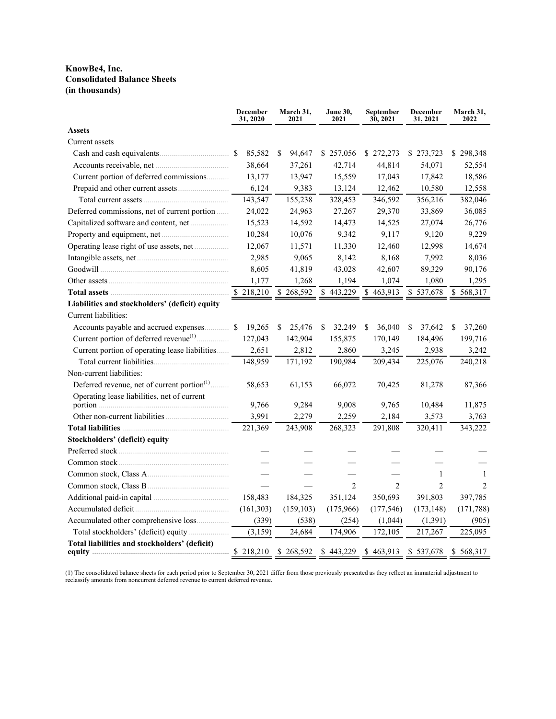### **KnowBe4, Inc. Consolidated Balance Sheets (in thousands)**

|                                                                        | <b>December</b><br>31, 2020 | March 31,<br>2021 | <b>June 30,</b><br>2021 | September<br>30, 2021 | <b>December</b><br>31, 2021 | March 31,<br>2022 |
|------------------------------------------------------------------------|-----------------------------|-------------------|-------------------------|-----------------------|-----------------------------|-------------------|
| <b>Assets</b>                                                          |                             |                   |                         |                       |                             |                   |
| Current assets                                                         |                             |                   |                         |                       |                             |                   |
|                                                                        | 85,582<br><sup>\$</sup>     | 94,647<br>S       | \$257,056               | \$272,273             | \$273,723                   | \$298,348         |
|                                                                        | 38,664                      | 37,261            | 42,714                  | 44,814                | 54,071                      | 52,554            |
| Current portion of deferred commissions                                | 13,177                      | 13,947            | 15,559                  | 17,043                | 17,842                      | 18,586            |
|                                                                        | 6,124                       | 9,383             | 13,124                  | 12,462                | 10,580                      | 12,558            |
|                                                                        | 143,547                     | 155,238           | 328,453                 | 346,592               | 356,216                     | 382,046           |
| Deferred commissions, net of current portion                           | 24,022                      | 24,963            | 27,267                  | 29,370                | 33,869                      | 36,085            |
|                                                                        | 15,523                      | 14,592            | 14,473                  | 14,525                | 27,074                      | 26,776            |
|                                                                        | 10,284                      | 10,076            | 9,342                   | 9,117                 | 9,120                       | 9,229             |
|                                                                        | 12,067                      | 11,571            | 11,330                  | 12,460                | 12,998                      | 14,674            |
|                                                                        | 2,985                       | 9,065             | 8,142                   | 8,168                 | 7,992                       | 8,036             |
|                                                                        | 8,605                       | 41,819            | 43,028                  | 42,607                | 89,329                      | 90,176            |
|                                                                        | 1,177                       | 1,268             | 1,194                   | 1,074                 | 1,080                       | 1,295             |
|                                                                        | 218,210                     | \$<br>268,592     | 443,229<br>\$           | 463,913<br>\$         | 537,678<br>\$               | \$568,317         |
| Liabilities and stockholders' (deficit) equity<br>Current liabilities: |                             |                   |                         |                       |                             |                   |
| Accounts payable and accrued expenses                                  | 19,265<br><sup>S</sup>      | \$<br>25,476      | \$<br>32,249            | 36,040<br>\$          | \$<br>37,642                | \$<br>37,260      |
| Current portion of deferred revenue <sup>(1)</sup>                     | 127,043                     | 142,904           | 155,875                 | 170,149               | 184,496                     | 199,716           |
| Current portion of operating lease liabilities                         | 2,651                       | 2,812             | 2,860                   | 3,245                 | 2,938                       | 3,242             |
|                                                                        | 148,959                     | 171,192           | 190,984                 | 209,434               | 225,076                     | 240,218           |
| Non-current liabilities:                                               |                             |                   |                         |                       |                             |                   |
| Deferred revenue, net of current portion <sup>(1)</sup>                | 58,653                      | 61,153            | 66,072                  | 70,425                | 81,278                      | 87,366            |
| Operating lease liabilities, net of current                            | 9,766                       | 9,284             | 9,008                   | 9,765                 | 10,484                      | 11,875            |
|                                                                        | 3.991                       | 2,279             | 2,259                   | 2,184                 | 3,573                       | 3,763             |
|                                                                        | 221,369                     | 243,908           | 268,323                 | 291,808               | 320,411                     | 343,222           |
| <b>Stockholders' (deficit) equity</b>                                  |                             |                   |                         |                       |                             |                   |
|                                                                        |                             |                   |                         |                       |                             |                   |
|                                                                        |                             |                   |                         |                       |                             |                   |
|                                                                        |                             |                   |                         |                       | 1                           | $\overline{1}$    |
|                                                                        |                             |                   | $\overline{2}$          | $\overline{2}$        | $\overline{c}$              | $\mathfrak{D}$    |
|                                                                        | 158,483                     | 184,325           | 351,124                 | 350,693               | 391,803                     | 397,785           |
|                                                                        | (161, 303)                  | (159, 103)        | (175,966)               | (177, 546)            | (173, 148)                  | (171, 788)        |
| Accumulated other comprehensive loss                                   | (339)                       | (538)             | (254)                   | (1,044)               | (1, 391)                    | (905)             |
|                                                                        | (3,159)                     | 24,684            | 174,906                 | 172,105               | 217,267                     | 225,095           |
| Total liabilities and stockholders' (deficit)                          |                             |                   | \$443,229               | \$463,913 \$537,678   |                             | \$568,317         |

(1) The consolidated balance sheets for each period prior to September 30, 2021 differ from those previously presented as they reflect an immaterial adjustment to reclassify amounts from noncurrent deferred revenue to current deferred revenue.